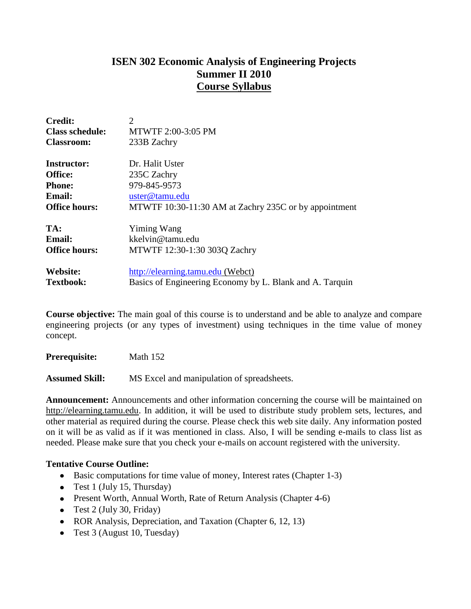# **ISEN 302 Economic Analysis of Engineering Projects Summer II 2010 Course Syllabus**

| <b>Credit:</b>         | $\overline{2}$                                           |  |  |  |  |
|------------------------|----------------------------------------------------------|--|--|--|--|
| <b>Class schedule:</b> | MTWTF 2:00-3:05 PM                                       |  |  |  |  |
| <b>Classroom:</b>      | 233B Zachry                                              |  |  |  |  |
| <b>Instructor:</b>     | Dr. Halit Uster                                          |  |  |  |  |
| <b>Office:</b>         | 235C Zachry                                              |  |  |  |  |
| <b>Phone:</b>          | 979-845-9573                                             |  |  |  |  |
| <b>Email:</b>          | uster@tamu.edu                                           |  |  |  |  |
| <b>Office hours:</b>   | MTWTF 10:30-11:30 AM at Zachry 235C or by appointment    |  |  |  |  |
| TA:                    | Yiming Wang                                              |  |  |  |  |
| <b>Email:</b>          | kkelvin@tamu.edu                                         |  |  |  |  |
| <b>Office hours:</b>   | MTWTF 12:30-1:30 303Q Zachry                             |  |  |  |  |
| Website:               | http://elearning.tamu.edu (Webct)                        |  |  |  |  |
| <b>Textbook:</b>       | Basics of Engineering Economy by L. Blank and A. Tarquin |  |  |  |  |

**Course objective:** The main goal of this course is to understand and be able to analyze and compare engineering projects (or any types of investment) using techniques in the time value of money concept.

**Prerequisite:** Math 152

**Assumed Skill:** MS Excel and manipulation of spreadsheets.

**Announcement:** Announcements and other information concerning the course will be maintained on http://elearning.tamu.edu. In addition, it will be used to distribute study problem sets, lectures, and other material as required during the course. Please check this web site daily. Any information posted on it will be as valid as if it was mentioned in class. Also, I will be sending e-mails to class list as needed. Please make sure that you check your e-mails on account registered with the university.

### **Tentative Course Outline:**

- Basic computations for time value of money, Interest rates (Chapter 1-3)  $\bullet$
- Test 1 (July 15, Thursday)
- Present Worth, Annual Worth, Rate of Return Analysis (Chapter 4-6)
- Test 2 (July 30, Friday)
- ROR Analysis, Depreciation, and Taxation (Chapter 6, 12, 13)
- Test 3 (August 10, Tuesday)